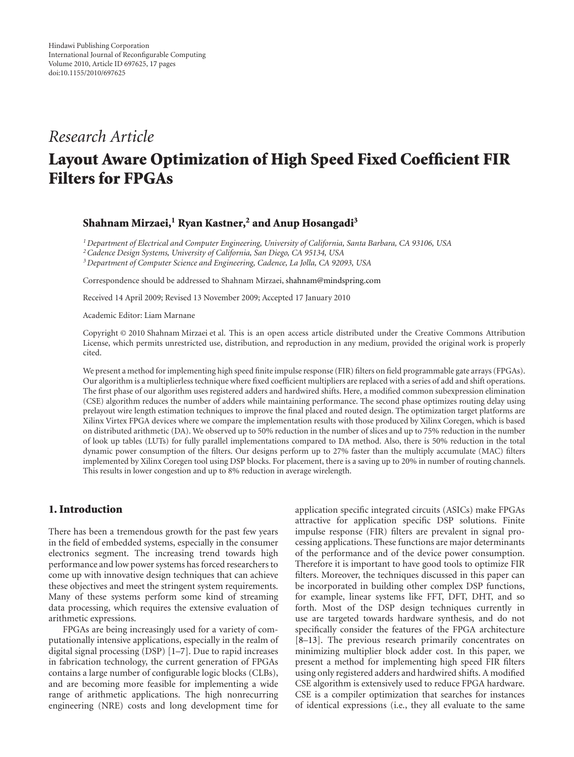## *Research Article*

# Layout Aware Optimization of High Speed Fixed Coefficient FIR Filters for FPGAs

#### Shahnam Mirzaei,<sup>1</sup> Ryan Kastner,<sup>2</sup> and Anup Hosangadi<sup>3</sup>

*1Department of Electrical and Computer Engineering, University of California, Santa Barbara, CA 93106, USA*

*2Cadence Design Systems, University of California, San Diego, CA 95134, USA*

*3Department of Computer Science and Engineering, Cadence, La Jolla, CA 92093, USA*

Correspondence should be addressed to Shahnam Mirzaei, shahnam@mindspring.com

Received 14 April 2009; Revised 13 November 2009; Accepted 17 January 2010

Academic Editor: Liam Marnane

Copyright © 2010 Shahnam Mirzaei et al. This is an open access article distributed under the Creative Commons Attribution License, which permits unrestricted use, distribution, and reproduction in any medium, provided the original work is properly cited.

We present a method for implementing high speed finite impulse response (FIR) filters on field programmable gate arrays (FPGAs). Our algorithm is a multiplierless technique where fixed coefficient multipliers are replaced with a series of add and shift operations. The first phase of our algorithm uses registered adders and hardwired shifts. Here, a modified common subexpression elimination (CSE) algorithm reduces the number of adders while maintaining performance. The second phase optimizes routing delay using prelayout wire length estimation techniques to improve the final placed and routed design. The optimization target platforms are Xilinx Virtex FPGA devices where we compare the implementation results with those produced by Xilinx Coregen, which is based on distributed arithmetic (DA). We observed up to 50% reduction in the number of slices and up to 75% reduction in the number of look up tables (LUTs) for fully parallel implementations compared to DA method. Also, there is 50% reduction in the total dynamic power consumption of the filters. Our designs perform up to 27% faster than the multiply accumulate (MAC) filters implemented by Xilinx Coregen tool using DSP blocks. For placement, there is a saving up to 20% in number of routing channels. This results in lower congestion and up to 8% reduction in average wirelength.

#### 1. Introduction

There has been a tremendous growth for the past few years in the field of embedded systems, especially in the consumer electronics segment. The increasing trend towards high performance and low power systems has forced researchers to come up with innovative design techniques that can achieve these objectives and meet the stringent system requirements. Many of these systems perform some kind of streaming data processing, which requires the extensive evaluation of arithmetic expressions.

FPGAs are being increasingly used for a variety of computationally intensive applications, especially in the realm of digital signal processing (DSP) [1–7]. Due to rapid increases in fabrication technology, the current generation of FPGAs contains a large number of configurable logic blocks (CLBs), and are becoming more feasible for implementing a wide range of arithmetic applications. The high nonrecurring engineering (NRE) costs and long development time for

application specific integrated circuits (ASICs) make FPGAs attractive for application specific DSP solutions. Finite impulse response (FIR) filters are prevalent in signal processing applications. These functions are major determinants of the performance and of the device power consumption. Therefore it is important to have good tools to optimize FIR filters. Moreover, the techniques discussed in this paper can be incorporated in building other complex DSP functions, for example, linear systems like FFT, DFT, DHT, and so forth. Most of the DSP design techniques currently in use are targeted towards hardware synthesis, and do not specifically consider the features of the FPGA architecture [8–13]. The previous research primarily concentrates on minimizing multiplier block adder cost. In this paper, we present a method for implementing high speed FIR filters using only registered adders and hardwired shifts. A modified CSE algorithm is extensively used to reduce FPGA hardware. CSE is a compiler optimization that searches for instances of identical expressions (i.e., they all evaluate to the same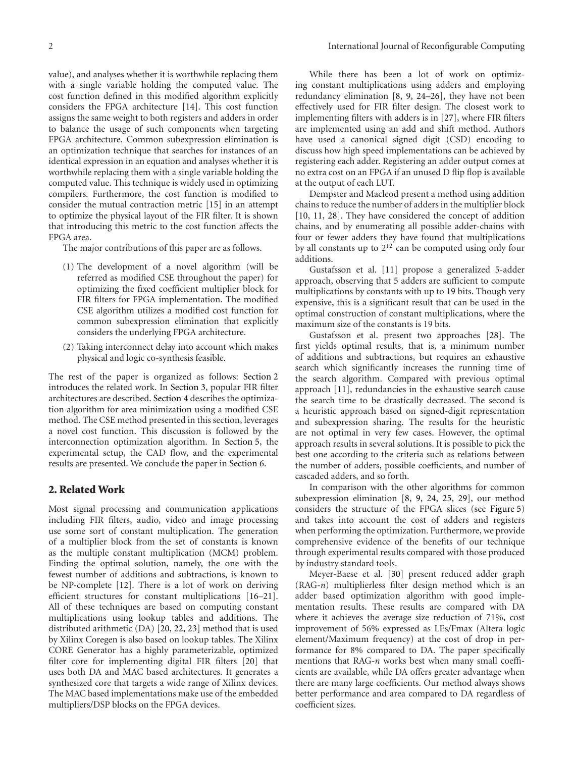value), and analyses whether it is worthwhile replacing them with a single variable holding the computed value. The cost function defined in this modified algorithm explicitly considers the FPGA architecture [14]. This cost function assigns the same weight to both registers and adders in order to balance the usage of such components when targeting FPGA architecture. Common subexpression elimination is an optimization technique that searches for instances of an identical expression in an equation and analyses whether it is worthwhile replacing them with a single variable holding the computed value. This technique is widely used in optimizing compilers. Furthermore, the cost function is modified to consider the mutual contraction metric [15] in an attempt to optimize the physical layout of the FIR filter. It is shown that introducing this metric to the cost function affects the FPGA area.

The major contributions of this paper are as follows.

- (1) The development of a novel algorithm (will be referred as modified CSE throughout the paper) for optimizing the fixed coefficient multiplier block for FIR filters for FPGA implementation. The modified CSE algorithm utilizes a modified cost function for common subexpression elimination that explicitly considers the underlying FPGA architecture.
- (2) Taking interconnect delay into account which makes physical and logic co-synthesis feasible.

The rest of the paper is organized as follows: Section 2 introduces the related work. In Section 3, popular FIR filter architectures are described. Section 4 describes the optimization algorithm for area minimization using a modified CSE method. The CSE method presented in this section, leverages a novel cost function. This discussion is followed by the interconnection optimization algorithm. In Section 5, the experimental setup, the CAD flow, and the experimental results are presented. We conclude the paper in Section 6.

#### 2. Related Work

Most signal processing and communication applications including FIR filters, audio, video and image processing use some sort of constant multiplication. The generation of a multiplier block from the set of constants is known as the multiple constant multiplication (MCM) problem. Finding the optimal solution, namely, the one with the fewest number of additions and subtractions, is known to be NP-complete [12]. There is a lot of work on deriving efficient structures for constant multiplications [16–21]. All of these techniques are based on computing constant multiplications using lookup tables and additions. The distributed arithmetic (DA) [20, 22, 23] method that is used by Xilinx Coregen is also based on lookup tables. The Xilinx CORE Generator has a highly parameterizable, optimized filter core for implementing digital FIR filters [20] that uses both DA and MAC based architectures. It generates a synthesized core that targets a wide range of Xilinx devices. The MAC based implementations make use of the embedded multipliers/DSP blocks on the FPGA devices.

While there has been a lot of work on optimizing constant multiplications using adders and employing redundancy elimination [8, 9, 24–26], they have not been effectively used for FIR filter design. The closest work to implementing filters with adders is in [27], where FIR filters are implemented using an add and shift method. Authors have used a canonical signed digit (CSD) encoding to discuss how high speed implementations can be achieved by registering each adder. Registering an adder output comes at no extra cost on an FPGA if an unused D flip flop is available at the output of each LUT.

Dempster and Macleod present a method using addition chains to reduce the number of adders in the multiplier block [10, 11, 28]. They have considered the concept of addition chains, and by enumerating all possible adder-chains with four or fewer adders they have found that multiplications by all constants up to  $2^{12}$  can be computed using only four additions.

Gustafsson et al. [11] propose a generalized 5-adder approach, observing that 5 adders are sufficient to compute multiplications by constants with up to 19 bits. Though very expensive, this is a significant result that can be used in the optimal construction of constant multiplications, where the maximum size of the constants is 19 bits.

Gustafsson et al. present two approaches [28]. The first yields optimal results, that is, a minimum number of additions and subtractions, but requires an exhaustive search which significantly increases the running time of the search algorithm. Compared with previous optimal approach [11], redundancies in the exhaustive search cause the search time to be drastically decreased. The second is a heuristic approach based on signed-digit representation and subexpression sharing. The results for the heuristic are not optimal in very few cases. However, the optimal approach results in several solutions. It is possible to pick the best one according to the criteria such as relations between the number of adders, possible coefficients, and number of cascaded adders, and so forth.

In comparison with the other algorithms for common subexpression elimination [8, 9, 24, 25, 29], our method considers the structure of the FPGA slices (see Figure 5) and takes into account the cost of adders and registers when performing the optimization. Furthermore, we provide comprehensive evidence of the benefits of our technique through experimental results compared with those produced by industry standard tools.

Meyer-Baese et al. [30] present reduced adder graph (RAG-*n*) multiplierless filter design method which is an adder based optimization algorithm with good implementation results. These results are compared with DA where it achieves the average size reduction of 71%, cost improvement of 56% expressed as LEs/Fmax (Altera logic element/Maximum frequency) at the cost of drop in performance for 8% compared to DA. The paper specifically mentions that RAG-*n* works best when many small coefficients are available, while DA offers greater advantage when there are many large coefficients. Our method always shows better performance and area compared to DA regardless of coefficient sizes.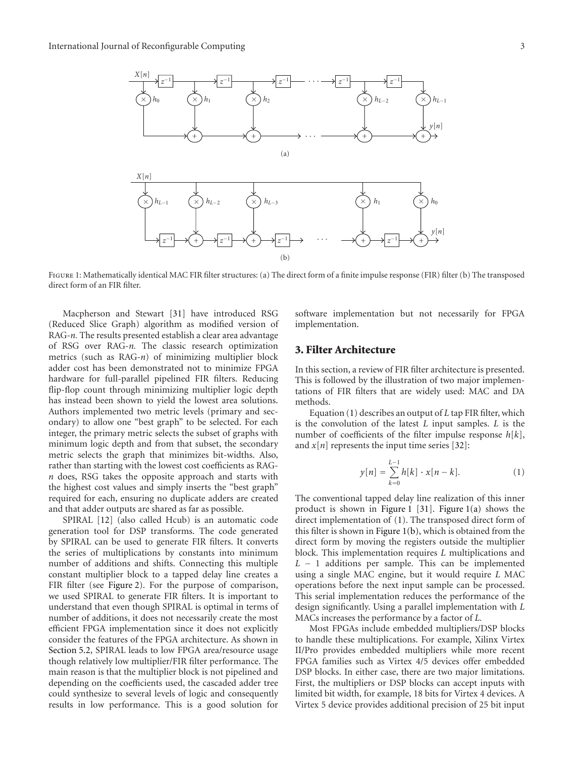

Figure 1: Mathematically identical MAC FIR filter structures: (a) The direct form of a finite impulse response (FIR) filter (b) The transposed direct form of an FIR filter.

Macpherson and Stewart [31] have introduced RSG (Reduced Slice Graph) algorithm as modified version of RAG-*n.* The results presented establish a clear area advantage of RSG over RAG-*n.* The classic research optimization metrics (such as RAG-*n*) of minimizing multiplier block adder cost has been demonstrated not to minimize FPGA hardware for full-parallel pipelined FIR filters. Reducing flip-flop count through minimizing multiplier logic depth has instead been shown to yield the lowest area solutions. Authors implemented two metric levels (primary and secondary) to allow one "best graph" to be selected. For each integer, the primary metric selects the subset of graphs with minimum logic depth and from that subset, the secondary metric selects the graph that minimizes bit-widths. Also, rather than starting with the lowest cost coefficients as RAG*n* does, RSG takes the opposite approach and starts with the highest cost values and simply inserts the "best graph" required for each, ensuring no duplicate adders are created and that adder outputs are shared as far as possible.

SPIRAL [12] (also called Hcub) is an automatic code generation tool for DSP transforms. The code generated by SPIRAL can be used to generate FIR filters. It converts the series of multiplications by constants into minimum number of additions and shifts. Connecting this multiple constant multiplier block to a tapped delay line creates a FIR filter (see Figure 2). For the purpose of comparison, we used SPIRAL to generate FIR filters. It is important to understand that even though SPIRAL is optimal in terms of number of additions, it does not necessarily create the most efficient FPGA implementation since it does not explicitly consider the features of the FPGA architecture. As shown in Section 5.2, SPIRAL leads to low FPGA area/resource usage though relatively low multiplier/FIR filter performance. The main reason is that the multiplier block is not pipelined and depending on the coefficients used, the cascaded adder tree could synthesize to several levels of logic and consequently results in low performance. This is a good solution for

software implementation but not necessarily for FPGA implementation.

#### 3. Filter Architecture

In this section, a review of FIR filter architecture is presented. This is followed by the illustration of two major implementations of FIR filters that are widely used: MAC and DA methods.

Equation (1) describes an output of *L* tap FIR filter, which is the convolution of the latest *L* input samples. *L* is the number of coefficients of the filter impulse response *h*[*k*], and  $x[n]$  represents the input time series [32]:

$$
y[n] = \sum_{k=0}^{L-1} h[k] \cdot x[n-k]. \tag{1}
$$

The conventional tapped delay line realization of this inner product is shown in Figure 1 [31]. Figure 1(a) shows the direct implementation of (1). The transposed direct form of this filter is shown in Figure 1(b), which is obtained from the direct form by moving the registers outside the multiplier block. This implementation requires *L* multiplications and *L* − 1 additions per sample. This can be implemented using a single MAC engine, but it would require *L* MAC operations before the next input sample can be processed. This serial implementation reduces the performance of the design significantly. Using a parallel implementation with *L* MACs increases the performance by a factor of *L.*

Most FPGAs include embedded multipliers/DSP blocks to handle these multiplications. For example, Xilinx Virtex II/Pro provides embedded multipliers while more recent FPGA families such as Virtex 4/5 devices offer embedded DSP blocks. In either case, there are two major limitations. First, the multipliers or DSP blocks can accept inputs with limited bit width, for example, 18 bits for Virtex 4 devices. A Virtex 5 device provides additional precision of 25 bit input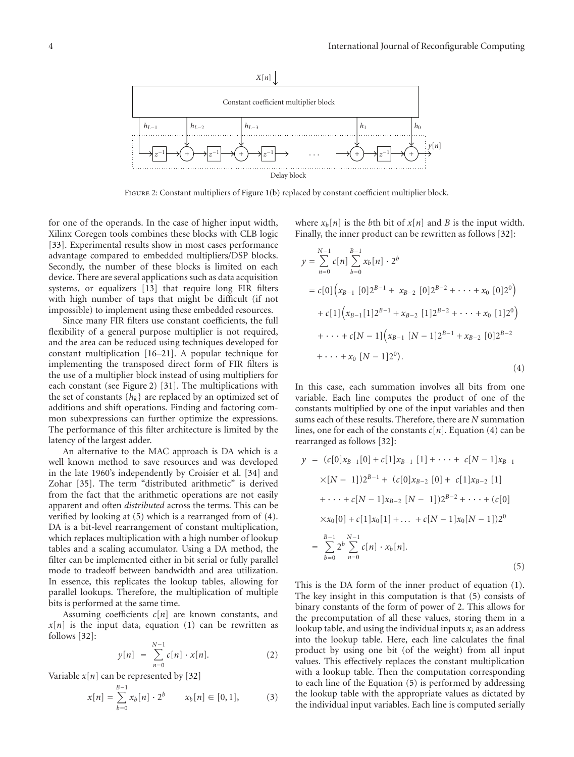

Figure 2: Constant multipliers of Figure 1(b) replaced by constant coefficient multiplier block.

for one of the operands. In the case of higher input width, Xilinx Coregen tools combines these blocks with CLB logic [33]. Experimental results show in most cases performance advantage compared to embedded multipliers/DSP blocks. Secondly, the number of these blocks is limited on each device. There are several applications such as data acquisition systems, or equalizers [13] that require long FIR filters with high number of taps that might be difficult (if not impossible) to implement using these embedded resources.

Since many FIR filters use constant coefficients, the full flexibility of a general purpose multiplier is not required, and the area can be reduced using techniques developed for constant multiplication [16–21]. A popular technique for implementing the transposed direct form of FIR filters is the use of a multiplier block instead of using multipliers for each constant (see Figure 2) [31]. The multiplications with the set of constants  $\{h_k\}$  are replaced by an optimized set of additions and shift operations. Finding and factoring common subexpressions can further optimize the expressions. The performance of this filter architecture is limited by the latency of the largest adder.

An alternative to the MAC approach is DA which is a well known method to save resources and was developed in the late 1960's independently by Croisíer et al. [34] and Zohar [35]. The term "distributed arithmetic" is derived from the fact that the arithmetic operations are not easily apparent and often *distributed* across the terms. This can be verified by looking at (5) which is a rearranged from of (4). DA is a bit-level rearrangement of constant multiplication, which replaces multiplication with a high number of lookup tables and a scaling accumulator. Using a DA method, the filter can be implemented either in bit serial or fully parallel mode to tradeoff between bandwidth and area utilization. In essence, this replicates the lookup tables, allowing for parallel lookups. Therefore, the multiplication of multiple bits is performed at the same time.

Assuming coefficients *c*[*n*] are known constants, and  $x[n]$  is the input data, equation (1) can be rewritten as follows [32]: *N*

$$
y[n] = \sum_{n=0}^{N-1} c[n] \cdot x[n]. \tag{2}
$$

Variable  $x[n]$  can be represented by [32]

$$
x[n] = \sum_{b=0}^{B-1} x_b[n] \cdot 2^b \qquad x_b[n] \in [0,1], \tag{3}
$$

where  $x_b[n]$  is the *b*th bit of  $x[n]$  and *B* is the input width. Finally, the inner product can be rewritten as follows [32]:

$$
y = \sum_{n=0}^{N-1} c[n] \sum_{b=0}^{B-1} x_b[n] \cdot 2^b
$$
  
=  $c[0] (x_{B-1} [0] 2^{B-1} + x_{B-2} [0] 2^{B-2} + \cdots + x_0 [0] 2^0)$   
+  $c[1] (x_{B-1} [1] 2^{B-1} + x_{B-2} [1] 2^{B-2} + \cdots + x_0 [1] 2^0)$   
+  $\cdots + c[N-1] (x_{B-1} [N-1] 2^{B-1} + x_{B-2} [0] 2^{B-2}$   
+  $\cdots + x_0 [N-1] 2^0).$  (4)

In this case, each summation involves all bits from one variable. Each line computes the product of one of the constants multiplied by one of the input variables and then sums each of these results. Therefore, there are *N* summation lines, one for each of the constants *c*[*n*]. Equation (4) can be rearranged as follows [32]:

$$
y = (c[0]x_{B-1}[0] + c[1]x_{B-1}[1] + \cdots + c[N-1]x_{B-1}
$$
  
\n
$$
\times [N-1])2^{B-1} + (c[0]x_{B-2}[0] + c[1]x_{B-2}[1]
$$
  
\n
$$
+ \cdots + c[N-1]x_{B-2}[N-1])2^{B-2} + \cdots + (c[0]
$$
  
\n
$$
\times x_0[0] + c[1]x_0[1] + \cdots + c[N-1]x_0[N-1])2^0
$$
  
\n
$$
= \sum_{b=0}^{B-1} \sum_{n=0}^{N-1} c[n] \cdot x_b[n].
$$
  
\n(5)

This is the DA form of the inner product of equation (1). The key insight in this computation is that (5) consists of binary constants of the form of power of 2. This allows for the precomputation of all these values, storing them in a lookup table, and using the individual inputs  $x_i$  as an address into the lookup table. Here, each line calculates the final product by using one bit (of the weight) from all input values. This effectively replaces the constant multiplication with a lookup table. Then the computation corresponding to each line of the Equation (5) is performed by addressing the lookup table with the appropriate values as dictated by the individual input variables. Each line is computed serially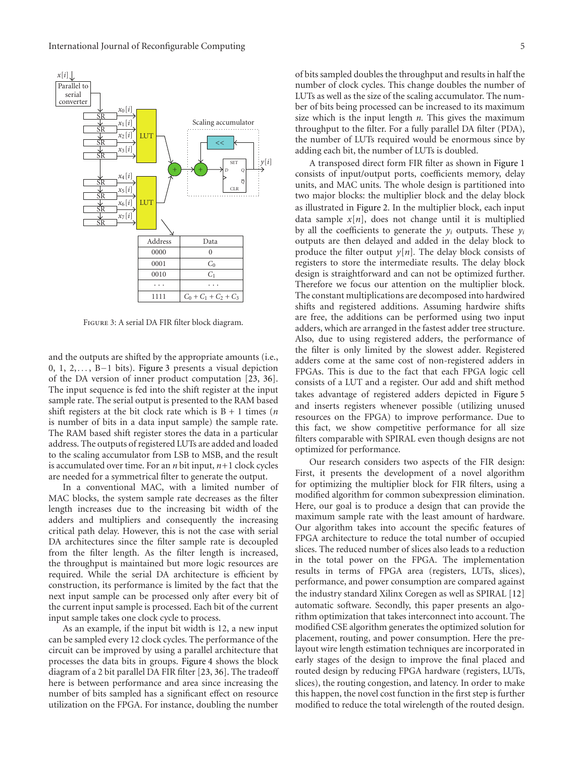

Figure 3: A serial DA FIR filter block diagram.

and the outputs are shifted by the appropriate amounts (i.e., 0, 1, 2, *...* , B−1 bits). Figure 3 presents a visual depiction of the DA version of inner product computation [23, 36]. The input sequence is fed into the shift register at the input sample rate. The serial output is presented to the RAM based shift registers at the bit clock rate which is B + 1 times (*n* is number of bits in a data input sample) the sample rate. The RAM based shift register stores the data in a particular address. The outputs of registered LUTs are added and loaded to the scaling accumulator from LSB to MSB, and the result is accumulated over time. For an *n* bit input, *n*+1 clock cycles are needed for a symmetrical filter to generate the output.

In a conventional MAC, with a limited number of MAC blocks, the system sample rate decreases as the filter length increases due to the increasing bit width of the adders and multipliers and consequently the increasing critical path delay. However, this is not the case with serial DA architectures since the filter sample rate is decoupled from the filter length. As the filter length is increased, the throughput is maintained but more logic resources are required. While the serial DA architecture is efficient by construction, its performance is limited by the fact that the next input sample can be processed only after every bit of the current input sample is processed. Each bit of the current input sample takes one clock cycle to process.

As an example, if the input bit width is 12, a new input can be sampled every 12 clock cycles. The performance of the circuit can be improved by using a parallel architecture that processes the data bits in groups. Figure 4 shows the block diagram of a 2 bit parallel DA FIR filter [23, 36]. The tradeoff here is between performance and area since increasing the number of bits sampled has a significant effect on resource utilization on the FPGA. For instance, doubling the number

of bits sampled doubles the throughput and results in half the number of clock cycles. This change doubles the number of LUTs as well as the size of the scaling accumulator. The number of bits being processed can be increased to its maximum size which is the input length *n.* This gives the maximum throughput to the filter. For a fully parallel DA filter (PDA), the number of LUTs required would be enormous since by adding each bit, the number of LUTs is doubled.

A transposed direct form FIR filter as shown in Figure 1 consists of input/output ports, coefficients memory, delay units, and MAC units. The whole design is partitioned into two major blocks: the multiplier block and the delay block as illustrated in Figure 2. In the multiplier block, each input data sample  $x[n]$ , does not change until it is multiplied by all the coefficients to generate the  $y_i$  outputs. These  $y_i$ outputs are then delayed and added in the delay block to produce the filter output  $y[n]$ . The delay block consists of registers to store the intermediate results. The delay block design is straightforward and can not be optimized further. Therefore we focus our attention on the multiplier block. The constant multiplications are decomposed into hardwired shifts and registered additions. Assuming hardwire shifts are free, the additions can be performed using two input adders, which are arranged in the fastest adder tree structure. Also, due to using registered adders, the performance of the filter is only limited by the slowest adder. Registered adders come at the same cost of non-registered adders in FPGAs. This is due to the fact that each FPGA logic cell consists of a LUT and a register. Our add and shift method takes advantage of registered adders depicted in Figure 5 and inserts registers whenever possible (utilizing unused resources on the FPGA) to improve performance. Due to this fact, we show competitive performance for all size filters comparable with SPIRAL even though designs are not optimized for performance.

Our research considers two aspects of the FIR design: First, it presents the development of a novel algorithm for optimizing the multiplier block for FIR filters, using a modified algorithm for common subexpression elimination. Here, our goal is to produce a design that can provide the maximum sample rate with the least amount of hardware. Our algorithm takes into account the specific features of FPGA architecture to reduce the total number of occupied slices. The reduced number of slices also leads to a reduction in the total power on the FPGA. The implementation results in terms of FPGA area (registers, LUTs, slices), performance, and power consumption are compared against the industry standard Xilinx Coregen as well as SPIRAL [12] automatic software. Secondly, this paper presents an algorithm optimization that takes interconnect into account. The modified CSE algorithm generates the optimized solution for placement, routing, and power consumption. Here the prelayout wire length estimation techniques are incorporated in early stages of the design to improve the final placed and routed design by reducing FPGA hardware (registers, LUTs, slices), the routing congestion, and latency. In order to make this happen, the novel cost function in the first step is further modified to reduce the total wirelength of the routed design.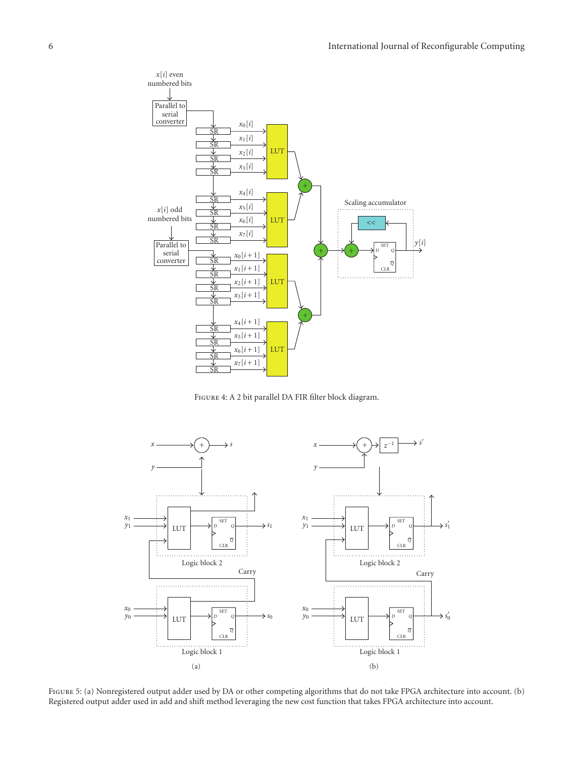

FIGURE 4: A 2 bit parallel DA FIR filter block diagram.



Figure 5: (a) Nonregistered output adder used by DA or other competing algorithms that do not take FPGA architecture into account. (b) Registered output adder used in add and shift method leveraging the new cost function that takes FPGA architecture into account.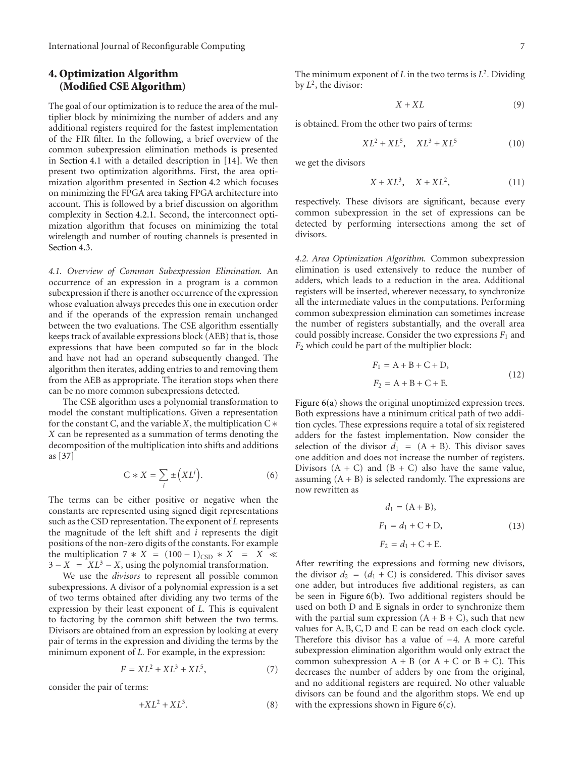### 4. Optimization Algorithm (Modified CSE Algorithm)

The goal of our optimization is to reduce the area of the multiplier block by minimizing the number of adders and any additional registers required for the fastest implementation of the FIR filter. In the following, a brief overview of the common subexpression elimination methods is presented in Section 4.1 with a detailed description in [14]. We then present two optimization algorithms. First, the area optimization algorithm presented in Section 4.2 which focuses on minimizing the FPGA area taking FPGA architecture into account. This is followed by a brief discussion on algorithm complexity in Section 4.2.1. Second, the interconnect optimization algorithm that focuses on minimizing the total wirelength and number of routing channels is presented in Section 4.3.

*4.1. Overview of Common Subexpression Elimination.* An occurrence of an expression in a program is a common subexpression if there is another occurrence of the expression whose evaluation always precedes this one in execution order and if the operands of the expression remain unchanged between the two evaluations. The CSE algorithm essentially keeps track of available expressions block (AEB) that is, those expressions that have been computed so far in the block and have not had an operand subsequently changed. The algorithm then iterates, adding entries to and removing them from the AEB as appropriate. The iteration stops when there can be no more common subexpressions detected.

The CSE algorithm uses a polynomial transformation to model the constant multiplications. Given a representation for the constant C, and the variable *X*, the multiplication C∗ *X* can be represented as a summation of terms denoting the decomposition of the multiplication into shifts and additions as [37]

$$
C * X = \sum_{i} \pm \left( X L^{i} \right). \tag{6}
$$

The terms can be either positive or negative when the constants are represented using signed digit representations such as the CSD representation. The exponent of *L* represents the magnitude of the left shift and *i* represents the digit positions of the non-zero digits of the constants. For example the multiplication  $7 * X = (100 - 1)_{CSD} * X = X \ll$  $3 - X = XL<sup>3</sup> - X$ , using the polynomial transformation.

We use the *divisors* to represent all possible common subexpressions. A divisor of a polynomial expression is a set of two terms obtained after dividing any two terms of the expression by their least exponent of *L.* This is equivalent to factoring by the common shift between the two terms. Divisors are obtained from an expression by looking at every pair of terms in the expression and dividing the terms by the minimum exponent of *L.* For example, in the expression:

$$
F = XL^2 + XL^3 + XL^5,\tag{7}
$$

consider the pair of terms:

$$
+XL^2 + XL^3. \tag{8}
$$

The minimum exponent of *L* in the two terms is  $L^2$ . Dividing by  $L^2$ , the divisor:

$$
X + XL \tag{9}
$$

is obtained. From the other two pairs of terms:

$$
XL^2 + XL^5, \quad XL^3 + XL^5 \tag{10}
$$

we get the divisors

$$
X + XL^3, \quad X + XL^2,\tag{11}
$$

respectively. These divisors are significant, because every common subexpression in the set of expressions can be detected by performing intersections among the set of divisors.

*4.2. Area Optimization Algorithm.* Common subexpression elimination is used extensively to reduce the number of adders, which leads to a reduction in the area. Additional registers will be inserted, wherever necessary, to synchronize all the intermediate values in the computations. Performing common subexpression elimination can sometimes increase the number of registers substantially, and the overall area could possibly increase. Consider the two expressions  $F_1$  and *F*<sup>2</sup> which could be part of the multiplier block:

$$
F_1 = A + B + C + D,
$$
  
\n
$$
F_2 = A + B + C + E.
$$
\n(12)

Figure  $6(a)$  shows the original unoptimized expression trees. Both expressions have a minimum critical path of two addition cycles. These expressions require a total of six registered adders for the fastest implementation. Now consider the selection of the divisor  $d_1 = (A + B)$ . This divisor saves one addition and does not increase the number of registers. Divisors  $(A + C)$  and  $(B + C)$  also have the same value, assuming  $(A + B)$  is selected randomly. The expressions are now rewritten as

$$
d_1 = (A + B),
$$
  
\n
$$
F_1 = d_1 + C + D,
$$
  
\n
$$
F_2 = d_1 + C + E.
$$
  
\n(13)

After rewriting the expressions and forming new divisors, the divisor  $d_2 = (d_1 + C)$  is considered. This divisor saves one adder, but introduces five additional registers, as can be seen in Figure 6(b). Two additional registers should be used on both D and E signals in order to synchronize them with the partial sum expression  $(A + B + C)$ , such that new values for A, B, C, D and E can be read on each clock cycle. Therefore this divisor has a value of −4*.* A more careful subexpression elimination algorithm would only extract the common subexpression  $A + B$  (or  $A + C$  or  $B + C$ *)*. This decreases the number of adders by one from the original, and no additional registers are required. No other valuable divisors can be found and the algorithm stops. We end up with the expressions shown in Figure  $6(c)$ .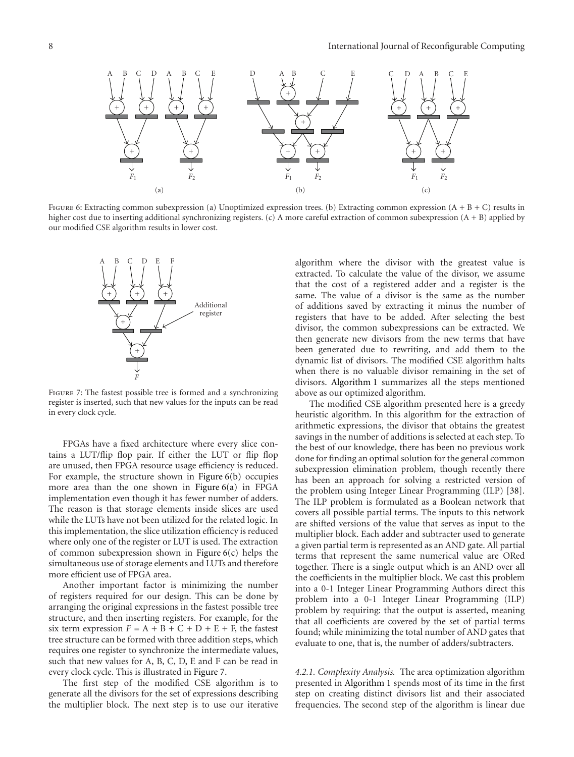

FIGURE 6: Extracting common subexpression (a) Unoptimized expression trees. (b) Extracting common expression  $(A + B + C)$  results in higher cost due to inserting additional synchronizing registers. (c) A more careful extraction of common subexpression  $(A + B)$  applied by our modified CSE algorithm results in lower cost.



Figure 7: The fastest possible tree is formed and a synchronizing register is inserted, such that new values for the inputs can be read in every clock cycle.

FPGAs have a fixed architecture where every slice contains a LUT/flip flop pair. If either the LUT or flip flop are unused, then FPGA resource usage efficiency is reduced. For example, the structure shown in Figure 6(b) occupies more area than the one shown in Figure 6(a) in FPGA implementation even though it has fewer number of adders. The reason is that storage elements inside slices are used while the LUTs have not been utilized for the related logic. In this implementation, the slice utilization efficiency is reduced where only one of the register or LUT is used. The extraction of common subexpression shown in Figure  $6(c)$  helps the simultaneous use of storage elements and LUTs and therefore more efficient use of FPGA area.

Another important factor is minimizing the number of registers required for our design. This can be done by arranging the original expressions in the fastest possible tree structure, and then inserting registers. For example, for the six term expression  $F = A + B + C + D + E + F$ , the fastest tree structure can be formed with three addition steps, which requires one register to synchronize the intermediate values, such that new values for A, B, C, D, E and F can be read in every clock cycle. This is illustrated in Figure 7.

The first step of the modified CSE algorithm is to generate all the divisors for the set of expressions describing the multiplier block. The next step is to use our iterative algorithm where the divisor with the greatest value is extracted. To calculate the value of the divisor, we assume that the cost of a registered adder and a register is the same. The value of a divisor is the same as the number of additions saved by extracting it minus the number of registers that have to be added. After selecting the best divisor, the common subexpressions can be extracted. We then generate new divisors from the new terms that have been generated due to rewriting, and add them to the dynamic list of divisors. The modified CSE algorithm halts when there is no valuable divisor remaining in the set of divisors. Algorithm 1 summarizes all the steps mentioned above as our optimized algorithm.

The modified CSE algorithm presented here is a greedy heuristic algorithm. In this algorithm for the extraction of arithmetic expressions, the divisor that obtains the greatest savings in the number of additions is selected at each step. To the best of our knowledge, there has been no previous work done for finding an optimal solution for the general common subexpression elimination problem, though recently there has been an approach for solving a restricted version of the problem using Integer Linear Programming (ILP) [38]. The ILP problem is formulated as a Boolean network that covers all possible partial terms. The inputs to this network are shifted versions of the value that serves as input to the multiplier block. Each adder and subtracter used to generate a given partial term is represented as an AND gate. All partial terms that represent the same numerical value are ORed together. There is a single output which is an AND over all the coefficients in the multiplier block. We cast this problem into a 0-1 Integer Linear Programming Authors direct this problem into a 0-1 Integer Linear Programming (ILP) problem by requiring: that the output is asserted, meaning that all coefficients are covered by the set of partial terms found; while minimizing the total number of AND gates that evaluate to one, that is, the number of adders/subtracters.

*4.2.1. Complexity Analysis.* The area optimization algorithm presented in Algorithm 1 spends most of its time in the first step on creating distinct divisors list and their associated frequencies. The second step of the algorithm is linear due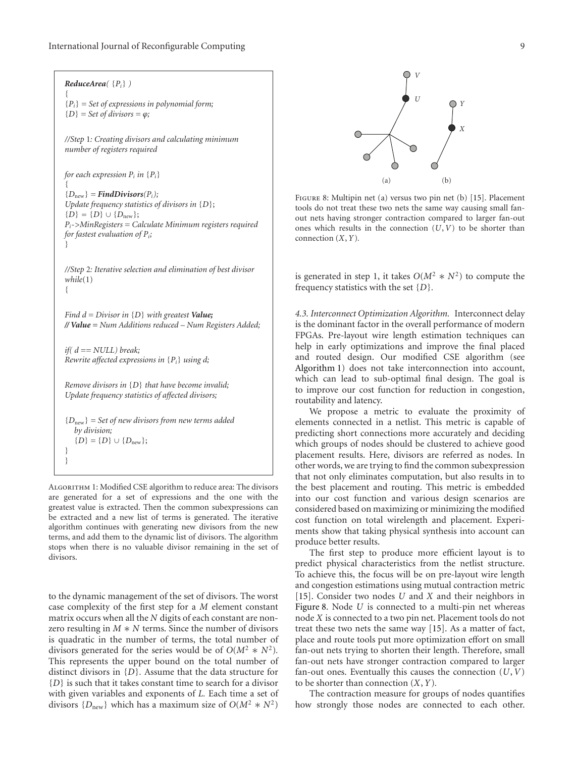*ReduceArea(* {*Pi*} *)* { {*Pi*} *= Set of expressions in polynomial form;*  ${D}$  = *Set of divisors =*  $\varphi$ ; *//Step* 1*: Creating divisors and calculating minimum number of registers required for each expression P<sup>i</sup> in* {*Pi*}  ${D_{\text{new}}}$  = *FindDivisors* $(P_i)$ ; *Update frequency statistics of divisors in* {*D*};  ${D} = {D} \cup {D_{new}};$ *Pi->MinRegisters = Calculate Minimum registers required for fastest evaluation of Pi;* } *//Step* 2*: Iterative selection and elimination of best divisor while*(1) { *Find d = Divisor in* {*D*} *with greatest Value; // Value = Num Additions reduced – Num Registers Added; if( d == NULL) break; Rewrite affected expressions in* {*Pi*} *using d; Remove divisors in* {*D*} *that have become invalid; Update frequency statistics of affected divisors;* {*D*new} *= Set of new divisors from new terms added by division;*  ${D} = {D} \cup {D_{new}};$ } }

Algorithm 1: Modified CSE algorithm to reduce area: The divisors are generated for a set of expressions and the one with the greatest value is extracted. Then the common subexpressions can be extracted and a new list of terms is generated. The iterative algorithm continues with generating new divisors from the new terms, and add them to the dynamic list of divisors. The algorithm stops when there is no valuable divisor remaining in the set of divisors.

to the dynamic management of the set of divisors. The worst case complexity of the first step for a *M* element constant matrix occurs when all the *N* digits of each constant are nonzero resulting in  $M \times N$  terms. Since the number of divisors is quadratic in the number of terms, the total number of divisors generated for the series would be of  $O(M^2 * N^2)$ . This represents the upper bound on the total number of distinct divisors in {*D*}*.* Assume that the data structure for {*D*} is such that it takes constant time to search for a divisor with given variables and exponents of *L.* Each time a set of divisors  $\{D_{\text{new}}\}$  which has a maximum size of  $O(M^2 * N^2)$ 



Figure 8: Multipin net (a) versus two pin net (b) [15]. Placement tools do not treat these two nets the same way causing small fanout nets having stronger contraction compared to larger fan-out ones which results in the connection (*U*,*V*) to be shorter than connection (*X*,*Y*)*.*

is generated in step 1, it takes  $O(M^2 * N^2)$  to compute the frequency statistics with the set {*D*}*.*

*4.3. Interconnect Optimization Algorithm.* Interconnect delay is the dominant factor in the overall performance of modern FPGAs. Pre-layout wire length estimation techniques can help in early optimizations and improve the final placed and routed design. Our modified CSE algorithm (see Algorithm 1) does not take interconnection into account, which can lead to sub-optimal final design. The goal is to improve our cost function for reduction in congestion, routability and latency.

We propose a metric to evaluate the proximity of elements connected in a netlist. This metric is capable of predicting short connections more accurately and deciding which groups of nodes should be clustered to achieve good placement results. Here, divisors are referred as nodes. In other words, we are trying to find the common subexpression that not only eliminates computation, but also results in to the best placement and routing. This metric is embedded into our cost function and various design scenarios are considered based on maximizing or minimizing the modified cost function on total wirelength and placement. Experiments show that taking physical synthesis into account can produce better results.

The first step to produce more efficient layout is to predict physical characteristics from the netlist structure. To achieve this, the focus will be on pre-layout wire length and congestion estimations using mutual contraction metric [15]. Consider two nodes *U* and *X* and their neighbors in Figure 8. Node *U* is connected to a multi-pin net whereas node *X* is connected to a two pin net. Placement tools do not treat these two nets the same way [15]. As a matter of fact, place and route tools put more optimization effort on small fan-out nets trying to shorten their length. Therefore, small fan-out nets have stronger contraction compared to larger fan-out ones. Eventually this causes the connection (*U*,*V*) to be shorter than connection (*X*,*Y*)*.*

The contraction measure for groups of nodes quantifies how strongly those nodes are connected to each other.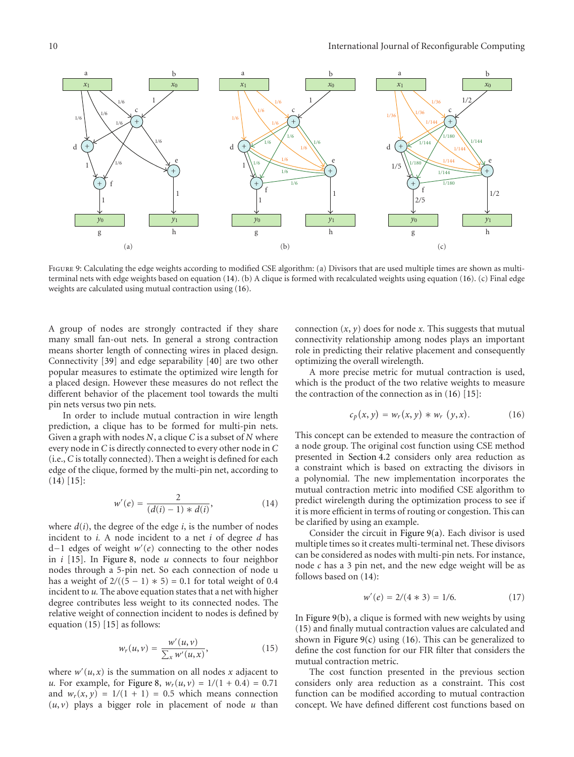

FIGURE 9: Calculating the edge weights according to modified CSE algorithm: (a) Divisors that are used multiple times are shown as multiterminal nets with edge weights based on equation (14). (b) A clique is formed with recalculated weights using equation (16). (c) Final edge weights are calculated using mutual contraction using (16).

A group of nodes are strongly contracted if they share many small fan-out nets. In general a strong contraction means shorter length of connecting wires in placed design. Connectivity [39] and edge separability [40] are two other popular measures to estimate the optimized wire length for a placed design. However these measures do not reflect the different behavior of the placement tool towards the multi pin nets versus two pin nets.

In order to include mutual contraction in wire length prediction, a clique has to be formed for multi-pin nets. Given a graph with nodes *N*, a clique *C* is a subset of *N* where every node in *C* is directly connected to every other node in *C* (i.e., *C* is totally connected). Then a weight is defined for each edge of the clique, formed by the multi-pin net, according to (14) [15]:

$$
w'(e) = \frac{2}{(d(i) - 1) * d(i)},
$$
\n(14)

where  $d(i)$ , the degree of the edge  $i$ , is the number of nodes incident to *i.* A node incident to a net *i* of degree *d* has d−1 edges of weight *w*\$ (*e*) connecting to the other nodes in *i* [15]. In Figure 8, node *u* connects to four neighbor nodes through a 5-pin net. So each connection of node u has a weight of  $2/((5 - 1) * 5) = 0.1$  for total weight of 0.4 incident to *u.* The above equation states that a net with higher degree contributes less weight to its connected nodes. The relative weight of connection incident to nodes is defined by equation (15) [15] as follows:

$$
w_r(u,v) = \frac{w'(u,v)}{\sum_x w'(u,x)},
$$
\n(15)

where  $w'(u, x)$  is the summation on all nodes *x* adjacent to *u.* For example, for Figure 8,  $w_r(u, v) = 1/(1 + 0.4) = 0.71$ and  $w_r(x, y) = 1/(1 + 1) = 0.5$  which means connection  $(u, v)$  plays a bigger role in placement of node  $u$  than connection  $(x, y)$  does for node  $x$ . This suggests that mutual connectivity relationship among nodes plays an important role in predicting their relative placement and consequently optimizing the overall wirelength.

A more precise metric for mutual contraction is used, which is the product of the two relative weights to measure the contraction of the connection as in (16) [15]:

$$
c_p(x, y) = w_r(x, y) * w_r (y, x).
$$
 (16)

This concept can be extended to measure the contraction of a node group. The original cost function using CSE method presented in Section 4.2 considers only area reduction as a constraint which is based on extracting the divisors in a polynomial. The new implementation incorporates the mutual contraction metric into modified CSE algorithm to predict wirelength during the optimization process to see if it is more efficient in terms of routing or congestion. This can be clarified by using an example.

Consider the circuit in Figure 9(a). Each divisor is used multiple times so it creates multi-terminal net. These divisors can be considered as nodes with multi-pin nets. For instance, node *c* has a 3 pin net, and the new edge weight will be as follows based on (14):

$$
w'(e) = 2/(4*3) = 1/6. \tag{17}
$$

In Figure 9(b), a clique is formed with new weights by using (15) and finally mutual contraction values are calculated and shown in Figure  $9(c)$  using (16). This can be generalized to define the cost function for our FIR filter that considers the mutual contraction metric.

The cost function presented in the previous section considers only area reduction as a constraint. This cost function can be modified according to mutual contraction concept. We have defined different cost functions based on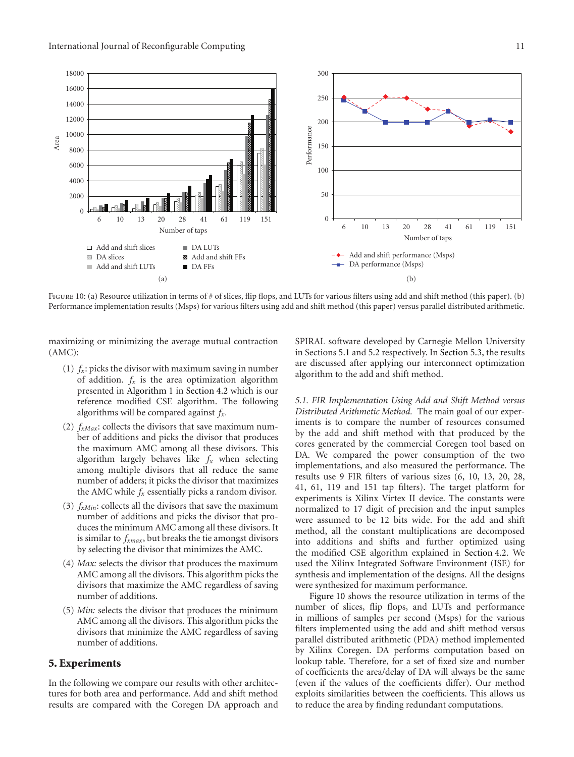

FIGURE 10: (a) Resource utilization in terms of # of slices, flip flops, and LUTs for various filters using add and shift method (this paper). (b) Performance implementation results (Msps) for various filters using add and shift method (this paper) versus parallel distributed arithmetic.

maximizing or minimizing the average mutual contraction (AMC):

- (1)  $f_x$ : picks the divisor with maximum saving in number of addition.  $f_x$  is the area optimization algorithm presented in Algorithm 1 in Section 4.2 which is our reference modified CSE algorithm. The following algorithms will be compared against *fx.*
- (2)  $f_{xMax}$ : collects the divisors that save maximum number of additions and picks the divisor that produces the maximum AMC among all these divisors. This algorithm largely behaves like  $f_x$  when selecting among multiple divisors that all reduce the same number of adders; it picks the divisor that maximizes the AMC while  $f_x$  essentially picks a random divisor.
- (3)  $f_{xMin}$ : collects all the divisors that save the maximum number of additions and picks the divisor that produces the minimum AMC among all these divisors. It is similar to *fxmax*, but breaks the tie amongst divisors by selecting the divisor that minimizes the AMC.
- (4) *Max:* selects the divisor that produces the maximum AMC among all the divisors. This algorithm picks the divisors that maximize the AMC regardless of saving number of additions.
- (5) *Min:* selects the divisor that produces the minimum AMC among all the divisors. This algorithm picks the divisors that minimize the AMC regardless of saving number of additions.

#### 5. Experiments

In the following we compare our results with other architectures for both area and performance. Add and shift method results are compared with the Coregen DA approach and SPIRAL software developed by Carnegie Mellon University in Sections 5.1 and 5.2 respectively. In Section 5.3, the results are discussed after applying our interconnect optimization algorithm to the add and shift method.

*5.1. FIR Implementation Using Add and Shift Method versus Distributed Arithmetic Method.* The main goal of our experiments is to compare the number of resources consumed by the add and shift method with that produced by the cores generated by the commercial Coregen tool based on DA. We compared the power consumption of the two implementations, and also measured the performance. The results use 9 FIR filters of various sizes (6, 10, 13, 20, 28, 41, 61, 119 and 151 tap filters). The target platform for experiments is Xilinx Virtex II device. The constants were normalized to 17 digit of precision and the input samples were assumed to be 12 bits wide. For the add and shift method, all the constant multiplications are decomposed into additions and shifts and further optimized using the modified CSE algorithm explained in Section 4.2. We used the Xilinx Integrated Software Environment (ISE) for synthesis and implementation of the designs. All the designs were synthesized for maximum performance.

Figure 10 shows the resource utilization in terms of the number of slices, flip flops, and LUTs and performance in millions of samples per second (Msps) for the various filters implemented using the add and shift method versus parallel distributed arithmetic (PDA) method implemented by Xilinx Coregen. DA performs computation based on lookup table. Therefore, for a set of fixed size and number of coefficients the area/delay of DA will always be the same (even if the values of the coefficients differ). Our method exploits similarities between the coefficients. This allows us to reduce the area by finding redundant computations.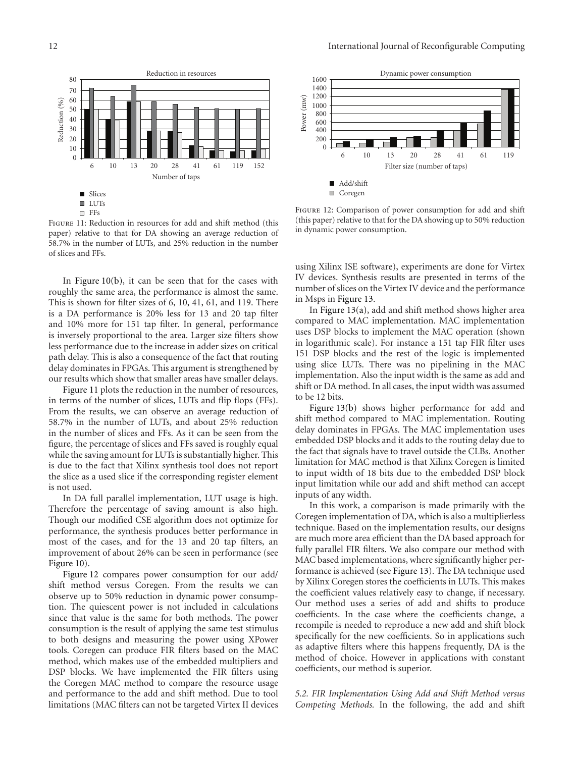

 $\Box$  FFs

Figure 11: Reduction in resources for add and shift method (this paper) relative to that for DA showing an average reduction of 58.7% in the number of LUTs, and 25% reduction in the number of slices and FFs.

In Figure 10(b), it can be seen that for the cases with roughly the same area, the performance is almost the same. This is shown for filter sizes of 6, 10, 41, 61, and 119. There is a DA performance is 20% less for 13 and 20 tap filter and 10% more for 151 tap filter. In general, performance is inversely proportional to the area. Larger size filters show less performance due to the increase in adder sizes on critical path delay. This is also a consequence of the fact that routing delay dominates in FPGAs. This argument is strengthened by our results which show that smaller areas have smaller delays.

Figure 11 plots the reduction in the number of resources, in terms of the number of slices, LUTs and flip flops (FFs). From the results, we can observe an average reduction of 58.7% in the number of LUTs, and about 25% reduction in the number of slices and FFs. As it can be seen from the figure, the percentage of slices and FFs saved is roughly equal while the saving amount for LUTs is substantially higher. This is due to the fact that Xilinx synthesis tool does not report the slice as a used slice if the corresponding register element is not used.

In DA full parallel implementation, LUT usage is high. Therefore the percentage of saving amount is also high. Though our modified CSE algorithm does not optimize for performance, the synthesis produces better performance in most of the cases, and for the 13 and 20 tap filters, an improvement of about 26% can be seen in performance (see Figure 10).

Figure 12 compares power consumption for our add/ shift method versus Coregen. From the results we can observe up to 50% reduction in dynamic power consumption. The quiescent power is not included in calculations since that value is the same for both methods. The power consumption is the result of applying the same test stimulus to both designs and measuring the power using XPower tools. Coregen can produce FIR filters based on the MAC method, which makes use of the embedded multipliers and DSP blocks. We have implemented the FIR filters using the Coregen MAC method to compare the resource usage and performance to the add and shift method. Due to tool limitations (MAC filters can not be targeted Virtex II devices



Figure 12: Comparison of power consumption for add and shift (this paper) relative to that for the DA showing up to 50% reduction in dynamic power consumption.

using Xilinx ISE software), experiments are done for Virtex IV devices. Synthesis results are presented in terms of the number of slices on the Virtex IV device and the performance in Msps in Figure 13.

In Figure 13(a), add and shift method shows higher area compared to MAC implementation. MAC implementation uses DSP blocks to implement the MAC operation (shown in logarithmic scale). For instance a 151 tap FIR filter uses 151 DSP blocks and the rest of the logic is implemented using slice LUTs. There was no pipelining in the MAC implementation. Also the input width is the same as add and shift or DA method. In all cases, the input width was assumed to be 12 bits.

Figure 13(b) shows higher performance for add and shift method compared to MAC implementation. Routing delay dominates in FPGAs. The MAC implementation uses embedded DSP blocks and it adds to the routing delay due to the fact that signals have to travel outside the CLBs. Another limitation for MAC method is that Xilinx Coregen is limited to input width of 18 bits due to the embedded DSP block input limitation while our add and shift method can accept inputs of any width.

In this work, a comparison is made primarily with the Coregen implementation of DA, which is also a multiplierless technique. Based on the implementation results, our designs are much more area efficient than the DA based approach for fully parallel FIR filters. We also compare our method with MAC based implementations, where significantly higher performance is achieved (see Figure 13). The DA technique used by Xilinx Coregen stores the coefficients in LUTs. This makes the coefficient values relatively easy to change, if necessary. Our method uses a series of add and shifts to produce coefficients. In the case where the coefficients change, a recompile is needed to reproduce a new add and shift block specifically for the new coefficients. So in applications such as adaptive filters where this happens frequently, DA is the method of choice. However in applications with constant coefficients, our method is superior.

*5.2. FIR Implementation Using Add and Shift Method versus Competing Methods.* In the following, the add and shift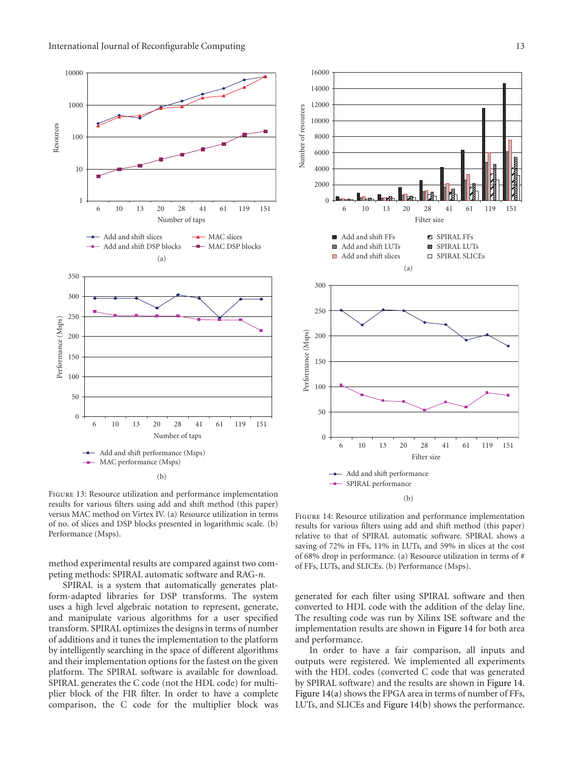

FIGURE 13: Resource utilization and performance implementation results for various filters using add and shift method (this paper) versus MAC method on Virtex IV. (a) Resource utilization in terms of no. of slices and DSP blocks presented in logarithmic scale. (b) Performance (Msps).

method experimental results are compared against two competing methods: SPIRAL automatic software and RAG-*n.*

SPIRAL is a system that automatically generates platform-adapted libraries for DSP transforms. The system uses a high level algebraic notation to represent, generate, and manipulate various algorithms for a user specified transform. SPIRAL optimizes the designs in terms of number of additions and it tunes the implementation to the platform by intelligently searching in the space of different algorithms and their implementation options for the fastest on the given platform. The SPIRAL software is available for download. SPIRAL generates the C code (not the HDL code) for multiplier block of the FIR filter. In order to have a complete comparison, the C code for the multiplier block was



(b)

Figure 14: Resource utilization and performance implementation results for various filters using add and shift method (this paper) relative to that of SPIRAL automatic software. SPIRAL shows a saving of 72% in FFs, 11% in LUTs, and 59% in slices at the cost of 68% drop in performance. (a) Resource utilization in terms of # of FFs, LUTs, and SLICEs. (b) Performance (Msps).

generated for each filter using SPIRAL software and then converted to HDL code with the addition of the delay line. The resulting code was run by Xilinx ISE software and the implementation results are shown in Figure 14 for both area and performance.

In order to have a fair comparison, all inputs and outputs were registered. We implemented all experiments with the HDL codes (converted C code that was generated by SPIRAL software) and the results are shown in Figure 14. Figure 14(a) shows the FPGA area in terms of number of FFs, LUTs, and SLICEs and Figure 14(b) shows the performance.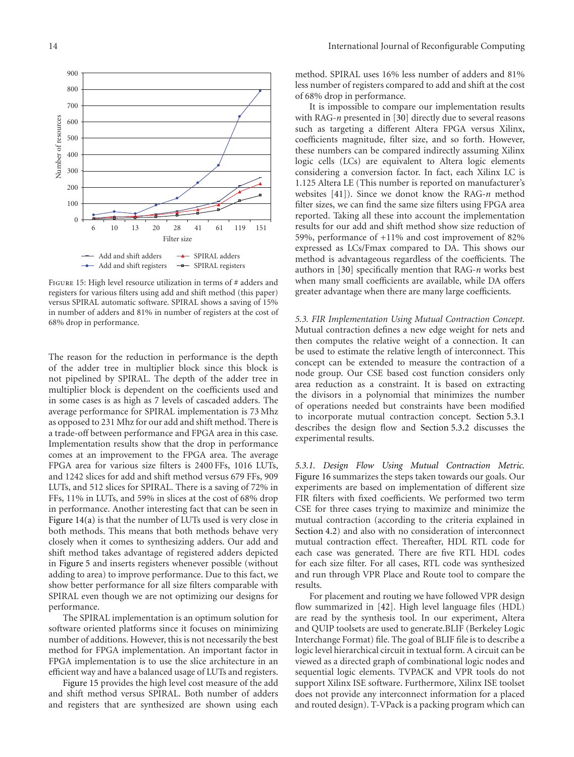

Figure 15: High level resource utilization in terms of # adders and registers for various filters using add and shift method (this paper) versus SPIRAL automatic software. SPIRAL shows a saving of 15% in number of adders and 81% in number of registers at the cost of 68% drop in performance.

The reason for the reduction in performance is the depth of the adder tree in multiplier block since this block is not pipelined by SPIRAL. The depth of the adder tree in multiplier block is dependent on the coefficients used and in some cases is as high as 7 levels of cascaded adders. The average performance for SPIRAL implementation is 73 Mhz as opposed to 231 Mhz for our add and shift method. There is a trade-off between performance and FPGA area in this case. Implementation results show that the drop in performance comes at an improvement to the FPGA area. The average FPGA area for various size filters is 2400 FFs, 1016 LUTs, and 1242 slices for add and shift method versus 679 FFs, 909 LUTs, and 512 slices for SPIRAL. There is a saving of 72% in FFs, 11% in LUTs, and 59% in slices at the cost of 68% drop in performance. Another interesting fact that can be seen in Figure 14(a) is that the number of LUTs used is very close in both methods. This means that both methods behave very closely when it comes to synthesizing adders. Our add and shift method takes advantage of registered adders depicted in Figure 5 and inserts registers whenever possible (without adding to area) to improve performance. Due to this fact, we show better performance for all size filters comparable with SPIRAL even though we are not optimizing our designs for performance.

The SPIRAL implementation is an optimum solution for software oriented platforms since it focuses on minimizing number of additions. However, this is not necessarily the best method for FPGA implementation. An important factor in FPGA implementation is to use the slice architecture in an efficient way and have a balanced usage of LUTs and registers.

Figure 15 provides the high level cost measure of the add and shift method versus SPIRAL. Both number of adders and registers that are synthesized are shown using each

method. SPIRAL uses 16% less number of adders and 81% less number of registers compared to add and shift at the cost of 68% drop in performance.

It is impossible to compare our implementation results with RAG-*n* presented in [30] directly due to several reasons such as targeting a different Altera FPGA versus Xilinx, coefficients magnitude, filter size, and so forth. However, these numbers can be compared indirectly assuming Xilinx logic cells (LCs) are equivalent to Altera logic elements considering a conversion factor. In fact, each Xilinx LC is 1.125 Altera LE (This number is reported on manufacturer's websites [41]). Since we donot know the RAG-*n* method filter sizes, we can find the same size filters using FPGA area reported. Taking all these into account the implementation results for our add and shift method show size reduction of 59%, performance of +11% and cost improvement of 82% expressed as LCs/Fmax compared to DA. This shows our method is advantageous regardless of the coefficients. The authors in [30] specifically mention that RAG-*n* works best when many small coefficients are available, while DA offers greater advantage when there are many large coefficients.

*5.3. FIR Implementation Using Mutual Contraction Concept.* Mutual contraction defines a new edge weight for nets and then computes the relative weight of a connection. It can be used to estimate the relative length of interconnect. This concept can be extended to measure the contraction of a node group. Our CSE based cost function considers only area reduction as a constraint. It is based on extracting the divisors in a polynomial that minimizes the number of operations needed but constraints have been modified to incorporate mutual contraction concept. Section 5.3.1 describes the design flow and Section 5.3.2 discusses the experimental results.

*5.3.1. Design Flow Using Mutual Contraction Metric.* Figure 16 summarizes the steps taken towards our goals. Our experiments are based on implementation of different size FIR filters with fixed coefficients. We performed two term CSE for three cases trying to maximize and minimize the mutual contraction (according to the criteria explained in Section 4.2) and also with no consideration of interconnect mutual contraction effect. Thereafter, HDL RTL code for each case was generated. There are five RTL HDL codes for each size filter. For all cases, RTL code was synthesized and run through VPR Place and Route tool to compare the results.

For placement and routing we have followed VPR design flow summarized in [42]. High level language files (HDL) are read by the synthesis tool. In our experiment, Altera and QUIP toolsets are used to generate.BLIF (Berkeley Logic Interchange Format) file. The goal of BLIF file is to describe a logic level hierarchical circuit in textual form. A circuit can be viewed as a directed graph of combinational logic nodes and sequential logic elements. TVPACK and VPR tools do not support Xilinx ISE software. Furthermore, Xilinx ISE toolset does not provide any interconnect information for a placed and routed design). T-VPack is a packing program which can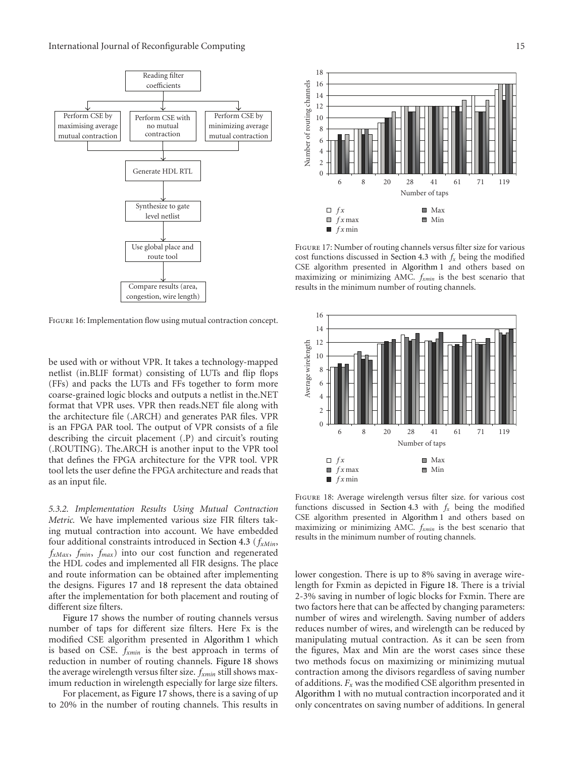

Figure 16: Implementation flow using mutual contraction concept.

be used with or without VPR. It takes a technology-mapped netlist (in.BLIF format) consisting of LUTs and flip flops (FFs) and packs the LUTs and FFs together to form more coarse-grained logic blocks and outputs a netlist in the.NET format that VPR uses. VPR then reads.NET file along with the architecture file (.ARCH) and generates PAR files. VPR is an FPGA PAR tool. The output of VPR consists of a file describing the circuit placement (.P) and circuit's routing (.ROUTING). The.ARCH is another input to the VPR tool that defines the FPGA architecture for the VPR tool. VPR tool lets the user define the FPGA architecture and reads that as an input file.

*5.3.2. Implementation Results Using Mutual Contraction Metric.* We have implemented various size FIR filters taking mutual contraction into account. We have embedded four additional constraints introduced in Section 4.3 (*fxMin*, *fxMax*, *fmin*, *fmax*) into our cost function and regenerated the HDL codes and implemented all FIR designs. The place and route information can be obtained after implementing the designs. Figures 17 and 18 represent the data obtained after the implementation for both placement and routing of different size filters.

Figure 17 shows the number of routing channels versus number of taps for different size filters. Here Fx is the modified CSE algorithm presented in Algorithm 1 which is based on CSE. *fxmin* is the best approach in terms of reduction in number of routing channels. Figure 18 shows the average wirelength versus filter size. *fxmin* still shows maximum reduction in wirelength especially for large size filters.

For placement, as Figure 17 shows, there is a saving of up to 20% in the number of routing channels. This results in



Figure 17: Number of routing channels versus filter size for various cost functions discussed in Section 4.3 with  $f_x$  being the modified CSE algorithm presented in Algorithm 1 and others based on maximizing or minimizing AMC. *fxmin* is the best scenario that results in the minimum number of routing channels.



Figure 18: Average wirelength versus filter size. for various cost functions discussed in Section 4.3 with  $f_x$  being the modified CSE algorithm presented in Algorithm 1 and others based on maximizing or minimizing AMC. *fxmin* is the best scenario that results in the minimum number of routing channels.

lower congestion. There is up to 8% saving in average wirelength for Fxmin as depicted in Figure 18. There is a trivial 2-3% saving in number of logic blocks for Fxmin. There are two factors here that can be affected by changing parameters: number of wires and wirelength. Saving number of adders reduces number of wires, and wirelength can be reduced by manipulating mutual contraction. As it can be seen from the figures, Max and Min are the worst cases since these two methods focus on maximizing or minimizing mutual contraction among the divisors regardless of saving number of additions.  $F_x$  was the modified CSE algorithm presented in Algorithm 1 with no mutual contraction incorporated and it only concentrates on saving number of additions. In general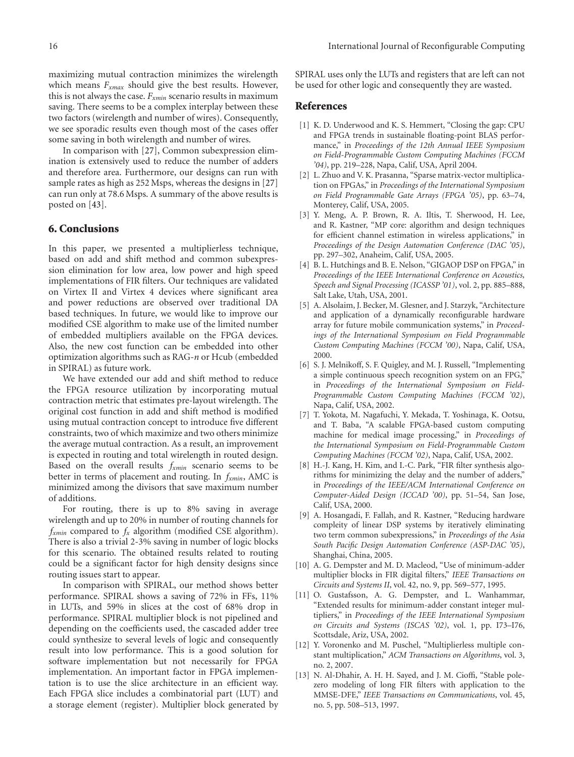maximizing mutual contraction minimizes the wirelength which means *Fxmax* should give the best results. However, this is not always the case. *Fxmin* scenario results in maximum saving. There seems to be a complex interplay between these two factors (wirelength and number of wires). Consequently, we see sporadic results even though most of the cases offer some saving in both wirelength and number of wires.

In comparison with [27], Common subexpression elimination is extensively used to reduce the number of adders and therefore area. Furthermore, our designs can run with sample rates as high as 252 Msps, whereas the designs in [27] can run only at 78.6 Msps. A summary of the above results is posted on [43].

#### 6. Conclusions

In this paper, we presented a multiplierless technique, based on add and shift method and common subexpression elimination for low area, low power and high speed implementations of FIR filters. Our techniques are validated on Virtex II and Virtex 4 devices where significant area and power reductions are observed over traditional DA based techniques. In future, we would like to improve our modified CSE algorithm to make use of the limited number of embedded multipliers available on the FPGA devices. Also, the new cost function can be embedded into other optimization algorithms such as RAG-*n* or Hcub (embedded in SPIRAL) as future work.

We have extended our add and shift method to reduce the FPGA resource utilization by incorporating mutual contraction metric that estimates pre-layout wirelength. The original cost function in add and shift method is modified using mutual contraction concept to introduce five different constraints, two of which maximize and two others minimize the average mutual contraction. As a result, an improvement is expected in routing and total wirelength in routed design. Based on the overall results *fxmin* scenario seems to be better in terms of placement and routing. In *fxmin*, AMC is minimized among the divisors that save maximum number of additions.

For routing, there is up to 8% saving in average wirelength and up to 20% in number of routing channels for *f<sub>xmin</sub>* compared to *f<sub>x</sub>* algorithm (modified CSE algorithm). There is also a trivial 2-3% saving in number of logic blocks for this scenario. The obtained results related to routing could be a significant factor for high density designs since routing issues start to appear.

In comparison with SPIRAL, our method shows better performance. SPIRAL shows a saving of 72% in FFs, 11% in LUTs, and 59% in slices at the cost of 68% drop in performance. SPIRAL multiplier block is not pipelined and depending on the coefficients used, the cascaded adder tree could synthesize to several levels of logic and consequently result into low performance. This is a good solution for software implementation but not necessarily for FPGA implementation. An important factor in FPGA implementation is to use the slice architecture in an efficient way. Each FPGA slice includes a combinatorial part (LUT) and a storage element (register). Multiplier block generated by

SPIRAL uses only the LUTs and registers that are left can not be used for other logic and consequently they are wasted.

#### References

- [1] K. D. Underwood and K. S. Hemmert, "Closing the gap: CPU and FPGA trends in sustainable floating-point BLAS performance," in *Proceedings of the 12th Annual IEEE Symposium on Field-Programmable Custom Computing Machines (FCCM '04)*, pp. 219–228, Napa, Calif, USA, April 2004.
- [2] L. Zhuo and V. K. Prasanna, "Sparse matrix-vector multiplication on FPGAs," in *Proceedings of the International Symposium on Field Programmable Gate Arrays (FPGA '05)*, pp. 63–74, Monterey, Calif, USA, 2005.
- [3] Y. Meng, A. P. Brown, R. A. Iltis, T. Sherwood, H. Lee, and R. Kastner, "MP core: algorithm and design techniques for efficient channel estimation in wireless applications," in *Proceedings of the Design Automation Conference (DAC '05)*, pp. 297–302, Anaheim, Calif, USA, 2005.
- [4] B. L. Hutchings and B. E. Nelson, "GIGAOP DSP on FPGA," in *Proceedings of the IEEE International Conference on Acoustics, Speech and Signal Processing (ICASSP '01)*, vol. 2, pp. 885–888, Salt Lake, Utah, USA, 2001.
- [5] A. Alsolaim, J. Becker, M. Glesner, and J. Starzyk, "Architecture and application of a dynamically reconfigurable hardware array for future mobile communication systems," in *Proceedings of the International Symposium on Field Programmable Custom Computing Machines (FCCM '00)*, Napa, Calif, USA, 2000.
- [6] S. J. Melnikoff, S. F. Quigley, and M. J. Russell, "Implementing a simple continuous speech recognition system on an FPG," in *Proceedings of the International Symposium on Field-Programmable Custom Computing Machines (FCCM '02)*, Napa, Calif, USA, 2002.
- [7] T. Yokota, M. Nagafuchi, Y. Mekada, T. Yoshinaga, K. Ootsu, and T. Baba, "A scalable FPGA-based custom computing machine for medical image processing," in *Proceedings of the International Symposium on Field-Programmable Custom Computing Machines (FCCM '02)*, Napa, Calif, USA, 2002.
- [8] H.-J. Kang, H. Kim, and I.-C. Park, "FIR filter synthesis algorithms for minimizing the delay and the number of adders," in *Proceedings of the IEEE/ACM International Conference on Computer-Aided Design (ICCAD '00)*, pp. 51–54, San Jose, Calif, USA, 2000.
- [9] A. Hosangadi, F. Fallah, and R. Kastner, "Reducing hardware compleity of linear DSP systems by iteratively eliminating two term common subexpressions," in *Proceedings of the Asia South Pacific Design Automation Conference (ASP-DAC '05)*, Shanghai, China, 2005.
- [10] A. G. Dempster and M. D. Macleod, "Use of minimum-adder multiplier blocks in FIR digital filters," *IEEE Transactions on Circuits and Systems II*, vol. 42, no. 9, pp. 569–577, 1995.
- [11] O. Gustafsson, A. G. Dempster, and L. Wanhammar, "Extended results for minimum-adder constant integer multipliers," in *Proceedings of the IEEE International Symposium on Circuits and Systems (ISCAS '02)*, vol. 1, pp. I73–I76, Scottsdale, Ariz, USA, 2002.
- [12] Y. Voronenko and M. Puschel, "Multiplierless multiple constant multiplication," *ACM Transactions on Algorithms*, vol. 3, no. 2, 2007.
- [13] N. Al-Dhahir, A. H. H. Sayed, and J. M. Cioffi, "Stable polezero modeling of long FIR filters with application to the MMSE-DFE," *IEEE Transactions on Communications*, vol. 45, no. 5, pp. 508–513, 1997.